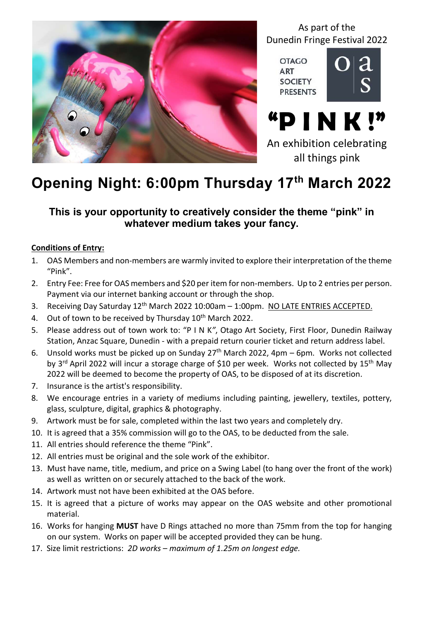

As part of the Dunedin Fringe Festival 2022

**OTAGO ART SOCIETY PRESENTS** 



"P I N K !" An exhibition celebrating all things pink

# Opening Night: 6:00pm Thursday 17th March 2022

### This is your opportunity to creatively consider the theme "pink" in whatever medium takes your fancy.

#### Conditions of Entry:

- 1. OAS Members and non-members are warmly invited to explore their interpretation of the theme "Pink".
- 2. Entry Fee: Free for OAS members and \$20 per item for non-members. Up to 2 entries per person. Payment via our internet banking account or through the shop.
- 3. Receiving Day Saturday 12<sup>th</sup> March 2022 10:00am 1:00pm. NO LATE ENTRIES ACCEPTED.
- 4. Out of town to be received by Thursday  $10^{th}$  March 2022.
- 5. Please address out of town work to: "P I N K", Otago Art Society, First Floor, Dunedin Railway Station, Anzac Square, Dunedin - with a prepaid return courier ticket and return address label.
- 6. Unsold works must be picked up on Sunday 27th March 2022, 4pm 6pm. Works not collected by 3<sup>rd</sup> April 2022 will incur a storage charge of \$10 per week. Works not collected by 15<sup>th</sup> May 2022 will be deemed to become the property of OAS, to be disposed of at its discretion.
- 7. Insurance is the artist's responsibility.
- 8. We encourage entries in a variety of mediums including painting, jewellery, textiles, pottery, glass, sculpture, digital, graphics & photography.
- 9. Artwork must be for sale, completed within the last two years and completely dry.
- 10. It is agreed that a 35% commission will go to the OAS, to be deducted from the sale.
- 11. All entries should reference the theme "Pink".
- 12. All entries must be original and the sole work of the exhibitor.
- 13. Must have name, title, medium, and price on a Swing Label (to hang over the front of the work) as well as written on or securely attached to the back of the work.
- 14. Artwork must not have been exhibited at the OAS before.
- 15. It is agreed that a picture of works may appear on the OAS website and other promotional material.
- 16. Works for hanging MUST have D Rings attached no more than 75mm from the top for hanging on our system. Works on paper will be accepted provided they can be hung.
- 17. Size limit restrictions: 2D works maximum of 1.25m on longest edge.